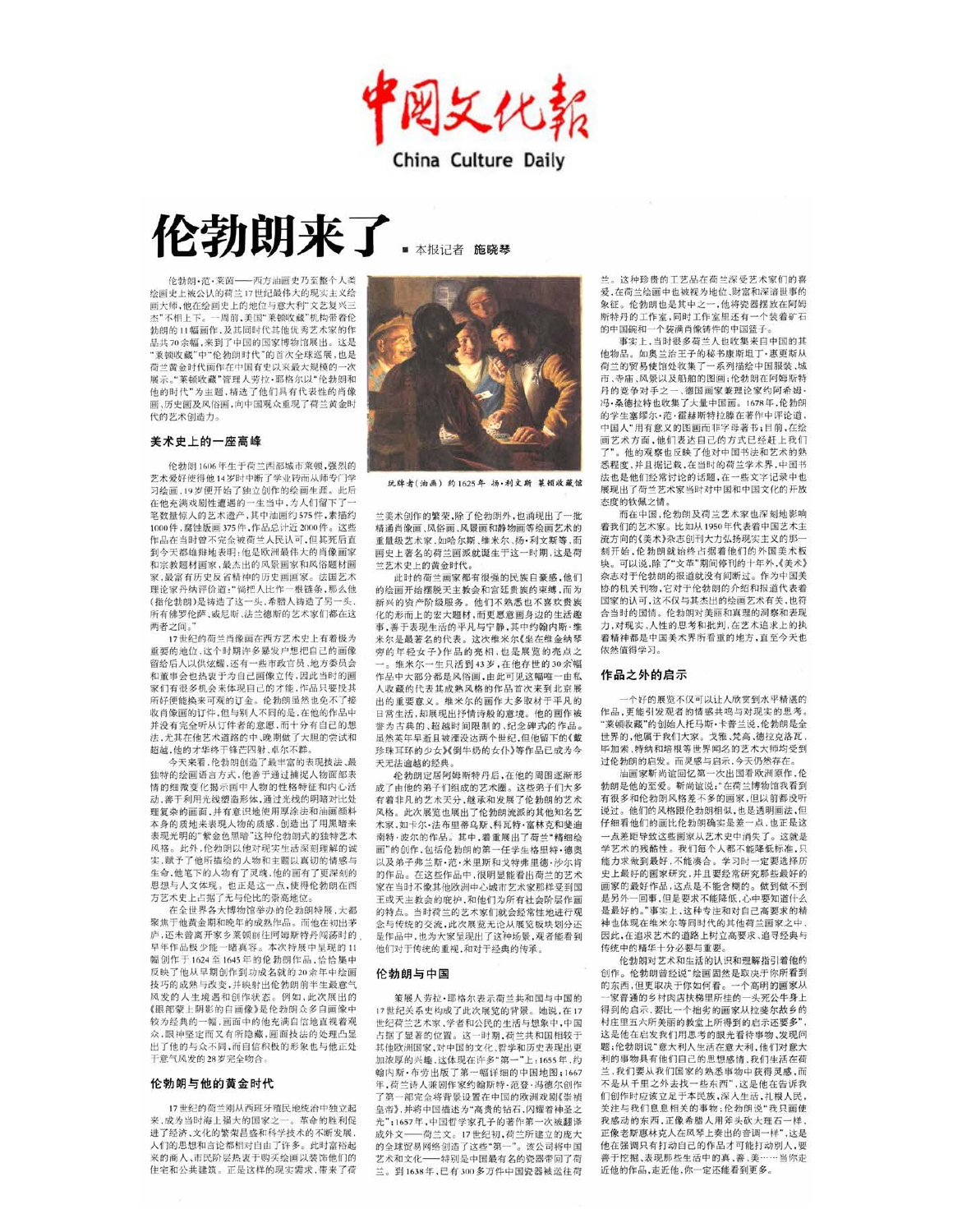图文化報 China Culture Daily

# 伦勃朗来了

■ 本报记者 施晓琴

**伦勃朗,范,莱茵一** 一西方油画中乃至整个人类 绘画史上被公认的荷兰17世纪最伟大的现实主义绘 画大师,他在绘画史上的地位与意大利"文艺复兴三 杰"不相上下。一周前,美国"莱顿收藏"机构带着伦 勃朗的11幅画作,及其同时代其他优秀艺术家的作 品共70余幅,来到了中国的国家博物馆展出。这是 莱顿收藏"中"伦勃朗时代"的首次全球巡展,也是 荷兰黄金时代画作在中国有史以来最大规模的一次 展示。"莱顿收藏"管理人劳拉·耶格尔以"伦勃朗和 他的时代"为主题,精选了他们具有代表性的肖像 画、历史画及风俗画,向中国观众重现了荷兰黄金时 代的艺术创造力。

#### 美术史上的一座高峰

伦勃朗1606年生于荷兰西部城市莱顿,强烈的 艺术爱好使得他14岁时中断了学业转而从师专门学 习绘画,19岁便开始了独立创作的绘画生涯。此后 在他充满戏剧性遭遇的一生当中,为人们留下了 笔数量惊人的艺术遗产,其中油画约575件,素描约 1000件,腐蚀版画375件,作品总计近2000件。这些 作品在当时曾不完全被荷兰人民认可,但其死后直 到今天都雄辩地表明:他是欧洲最伟大的肖像画家 和宗教题材画家,最杰出的风景画家和风俗题材画 家,最富有历史反省精神的历史画画家。法国艺术 理论家丹纳评价道:"倘把人比作一根链条,那么他 (指伦勃朗)是铸造了这一头,希腊人铸造了另一头, 所有佛罗伦萨、威尼斯、法兰德斯的艺术家们都在这 两者之间。

17世纪的荷兰肖像画在西方艺术史上有着极为 重要的地位,这个时期许多暴发户想把自己的画像 留给后人以供炫耀,还有一些市政官员,地方委员会 和董事会也热衷于为自己画像立传,因此当时的画 家们有很多机会来体现自己的才能,作品只要投其 所好便能换来可观的订金。伦勃朗虽然也免不了接 收肖像画的订件,但与别人不同的是,在他的作品中 并没有完全听从订件者的意愿,而十分有自己的想 法,尤其在他艺术道路的中、晚期做了大胆的尝试和 超越,他的才华终于锋芒四射、卓尔不群。

今天来看,伦勃朗创造了最丰富的表现技法、最 独特的绘画语言方式,他善于通过捕捉人物面部表 情的细微变化揭示画中人物的性格特征和内心活 动,善于利用光线塑造形体,通过光线的明暗对比处 理复杂的画面,并有意识地使用厚涂法和油画颜料 本身的质地来表现人物的质感,创造出了用黑暗来 表现光明的"紫金色黑暗"这种伦勃朗式的独特艺术 风格。此外,伦勃朗以他对现实生活深刻理解的诚 实,赋予了他所描绘的人物和主题以真切的情感与 生命,他笔下的人物有了灵魂,他的画有了更深刻的 思想与人文体现。也正是这一点,使得伦勃朗在西 方艺术史上占据了无与伦比的崇高地位。

在全世界各大博物馆举办的伦勃朗特展,大都 聚焦干他黄金期和晚年的成熟作品。而他在初出茅 庐,还未曾离开家乡莱顿前往阿姆斯特丹闯荡时的 早年作品极少能一睹真容。本次特展中呈现的11 幅创作于1624至1645年的伦勃朗作品,恰恰集中 反映了他从早期创作到功成名就的20余年中绘画 技巧的成熟与改变,并映射出伦勃朗前半生最意气 风发的人生境遇和创作状态。例如,此次展出的 《眼部蒙上阴影的自画像》是伦勃朗众多自画像中 较为经典的一幅,画面中的他充满自信地直视着观 众,眼神坚定而又有所隐藏,画面技法的处理凸显 出了他的与众不同,而自信积极的形象也与他正处 干意气风发的28岁完全吻合。

#### 伦勃朗与他的黄金时代

17世纪的荷兰刚从西班牙殖民地统治中独立起 来,成为当时海上强大的国家之一。革命的胜利促 进了经济,文化的繁荣昌盛和科学技术的不断发展, 人们的思想和言论都相对自由了许多。此时富裕起 来的商人、市民阶层热衷于购买绘画以装饰他们的 住宅和公共建筑。正是这样的现实需求,带来了荷



玩牌者(油画) 约1625年 扬·利文斯 莱顿收藏馆

兰美术创作的繁荣,除了伦勃朗外,也涌现出了一批 精通肖像画、风俗画、风景画和静物画等绘画艺术的 重量级艺术家,如哈尔斯、维米尔、扬·利文斯等,而 画史上著名的荷兰画派就诞生于这一时期,这是荷 兰艺术史上的黄金时代。

此时的荷兰画家都有很强的民族自豪感,他们 的绘画开始摆脱天主教会和宫廷贵族的束缚,而为 新兴的资产阶级服务。他们不熟悉也不喜欢贵族 化的形而上的宏大题材,而更愿意画身边的生活趣 事, 盖干表现生活的平凡与宁静, 其中约翰内斯·维 米尔是最著名的代表。这次维米尔《坐在维金纳琴 密的年轻女子》作品的亮相,也是展览的亮点之 维米尔一生只活到43岁,在他存世的30余幅 作品中大部分都是风俗画、由此可见这幅唯一中秋 人收藏的代表其成熟风格的作品首次来到北京展 出的重要音义。维米尔的画作大多取材于平凡的 日常生活,却展现出抒情诗般的意境。他的画作被 举为古典的 超越时间限制的 纪今碑式的作品。 虽然革年早逝日被湮没达两个世纪,但他留下的《戴 珍珠耳环的少女)《倒牛奶的女仆》等作品已成为今 天无法逾越的经典。

伦勃朗定居阿姆斯特丹后,在他的周围逐渐形 成了由他的弟子们组成的艺术圈。这些弟子们大多 有着非凡的艺术天分, 继承和发展了伦勃朗的艺术 风格。此次展览也展出了伦勃朗流派的其他知名艺 术家,如卡尔·法布里蒂乌斯、科瓦特·富林克和斐迪 南特·波尔的作品。其中,着重展出了荷兰"精细绘 画"的创作,包括伦勃朗的第一任学生格里特·德奥 以及弟子弗兰斯·范·米里斯和戈特弗里德·沙尔肯 的作品。在这些作品中,很明显能看出荷兰的艺术 家在当时不像其他欧洲中心城市艺术家那样受到国 王或天主教会的庇护,和他们为所有社会阶层作画 的特点。当时荷兰的艺术家们就会经常性地进行观 念与传统的交流,此次展览无论从展览板块划分还 是作品中,也为大家呈现出了这种场景,观者能看到 他们对于传统的重视,和对于经典的传承。

#### 伦勃朗与中国

策展人劳拉·耶格尔表示荷兰共和国与中国的 17世纪关系史构成了此次展览的背景。她说,在17 世纪荷兰艺术家,学者和公民的生活与想象中,中国 占据了显著的位置。这一时期,荷兰共和国相较于 其他欧洲国家,对中国的文化、哲学和历史表现出更 加浓厚的兴趣,这体现在许多"第一"上:1655年,约 翰内斯·布劳出版了第一幅详细的中国地图;1667 年, 荷兰诗人兼剧作家约翰斯特·范登·冯德尔创作 了第一部完全将背景设置在中国的欧洲戏剧《崇祯 皇帝》,并将中国描述为"高贵的钻石,闪耀着神圣之 光";1657年,中国哲学家孔子的著作第一次被翻译 成外文 -- 荷兰文。17世纪初,荷兰所建立的庞大 的全球贸易网络创造了这些"第一"。该公司将中国 艺术和文化 -- 特别是中国最有名的瓷器带回了荷 兰。到1638年,已有300多万件中国瓷器被运往荷

兰。这种珍贵的工艺品在荷兰深受艺术家们的喜 爱,在荷兰绘画中也被视为地位、财富和深谙世事的 象征。伦勃朗也是其中之一,他将瓷器摆放在阿姆 斯特丹的工作室,同时工作室里还有一个装着矿石 的中国碗和一个装满肖像铸件的中国篮子。

事实上,当时很多荷兰人也收集来自中国的其 他物品。如奥兰治王子的秘书康斯坦丁·惠更斯从 荷兰的贸易使馆处收集了一系列描绘中国服装、城 市、寺庙、风景以及船舶的图画;伦勃朗在阿姆斯特 丹的竞争对手之一、德国画家兼理论家约阿希姆· 冯·桑德拉特也收集了大量中国画。1678年,伦勃朗 的学生塞缪尔·范·霍赫斯特拉滕在著作中评论道, 中国人"用有意义的图画而非字母著书;目前,在绘 画艺术方面,他们表达自己的方式已经赶上我们 "。他的观察也反映了他对中国书法和艺术的熟 悉程度,并且据记载,在当时的荷兰学术界,中国书 法也是他们经常讨论的话题,在一些文字记录中也 展现出了荷兰艺术家当时对中国和中国文化的开放 态度的钦佩之情,

而在中国,伦勃朗及荷兰艺术家也深刻地影响 着我们的艺术家。比如从1950年代表着中国艺术主 流方向的《美术》杂志创刊大力弘扬现实主义的那一 刻开始,伦勃朗就始终占据着他们的外国美术板 块。可以说,除了"文革"期间停刊的十年外,《美术》 杂志对于伦勃朗的报道就没有间断过。作为中国美 协的机关刊物,它对于伦勃朗的介绍和报道代表着 国家的认可,这不仅与其杰出的绘画艺术有关,也符 合当时的国情。伦勃朗对美丽和真理的洞察和表现 力,对现实、人性的思考和批判,在艺术追求上的执 着精神都是中国美术界所看重的地方,直至今天也 依然值得学习。

#### 作品之外的启示

个好的展览不仅可以让人欣赏到水平精湛的 作品,更能引发观者的情感共鸣与对现实的思考。 莱顿收藏"的创始人托马斯·卡普兰说,伦勃朗是全 世界的,他属于我们大家。戈雅、梵高、德拉克洛瓦、 毕加索、特纳和培根等世界闻名的艺术大师均受到 过伦勃朗的启发。而灵感与启示,今天仍然存在。

油画家靳尚谊回忆第一次出国看欧洲原作,伦 勃朗是他的至爱。靳尚谊说:"在荷兰博物馆我看到 有很多和伦勃朗风格差不多的画家,但以前都没听 说过。他们的风格跟伦勃朗相似,也是透明画法,但 仔细看他们的画比伦勃朗确实是差一点,也正是这 一占差距导致这些画家从艺术中中消失了。这就是 学艺术的残酷性。我们每个人都不能降低标准,只能力求做到最好,不能凑合。学习时一定要选择历 史上最好的画家研究,并且要经常研究那些最好的 画家的最好作品,这点是不能含糊的。做到做不到 是另外一回事,但是要求不能降低,心中要知道什么 是最好的。"事实上,这种专注和对自己高要求的精 神也体现在维米尔等同时代的其他荷兰画家之中。 因此,在追求艺术的道路上树立高要求、追寻经典与 传统中的精华十分必要与重要。

伦勃朗对艺术和生活的认识和理解指引着他的 创作。伦勃朗曾经说"绘画固然是取决于你所看到 的东西,但更取决于你如何看。一个高明的画家从 一家普通的乡村肉店扶梯里所挂的一头死公牛身上 得到的启示,要比一个拙劣的画家从拉斐尔故乡的 村庄里五六所美丽的教堂上所得到的启示还要多", 这是他在启发我们用思考的眼光看待事物、发现问 题;伦勃朗说"意大利人生活在意大利,他们对意大 利的事物具有他们自己的思想感情,我们生活在荷 兰,我们要从我们国家的熟悉事物中获得灵感,而 不是从千里之外去找一些东西", 这是他在告诉我 们创作时应该立足于本民族,深入生活,扎根人民, 关注与我们息息相关的事物;伦勃朗说"我只画使 我感动的东西,正像希腊人用斧头砍大理石一样, 正像老斯惠林克人在风琴上奏出的音调一样",这是 他在强调只有打动自己的作品才可能打动别人,要 善于挖掘、表现那些生活中的真、善、美……当你走 近他的作品,走近他,你一定还能看到更多。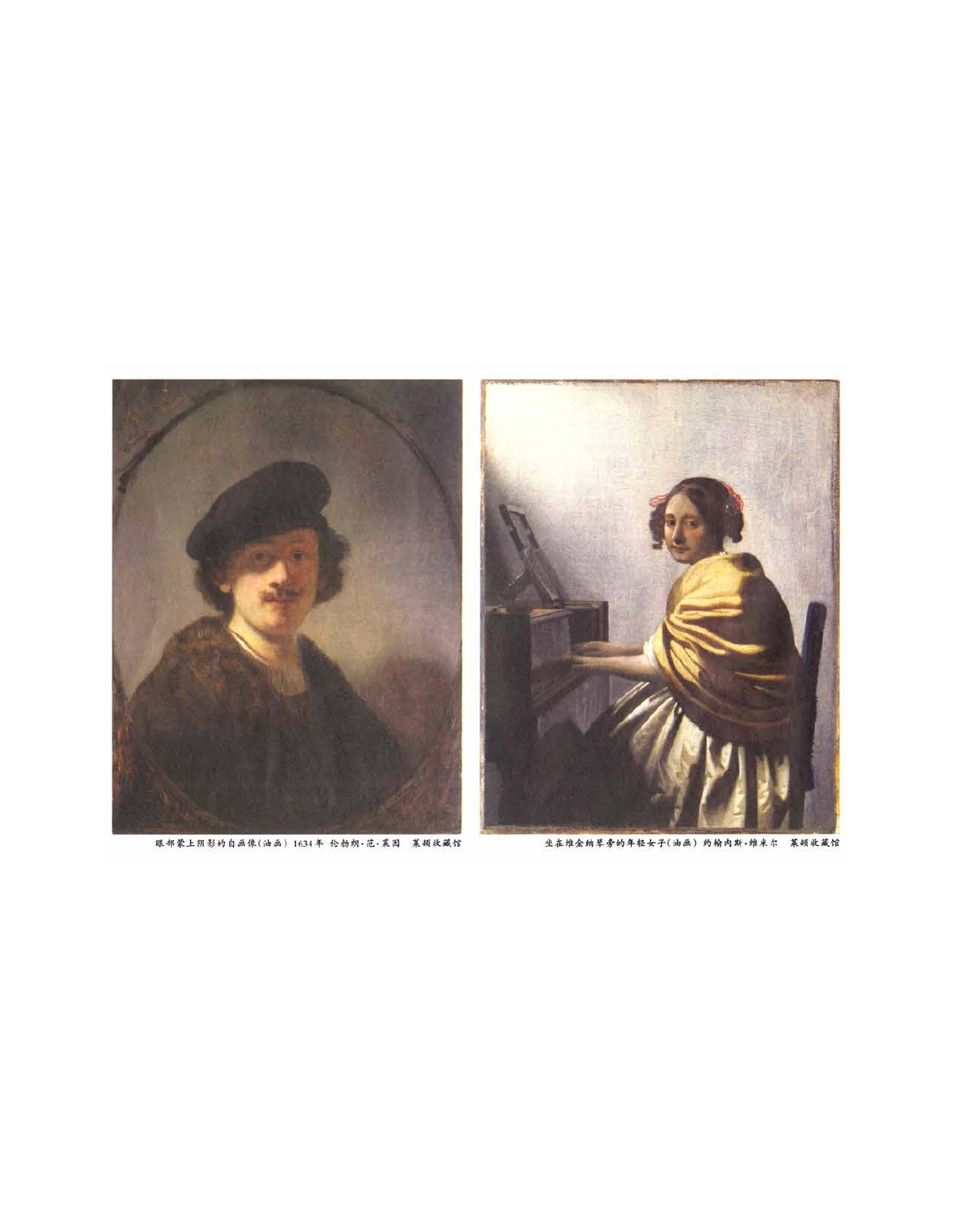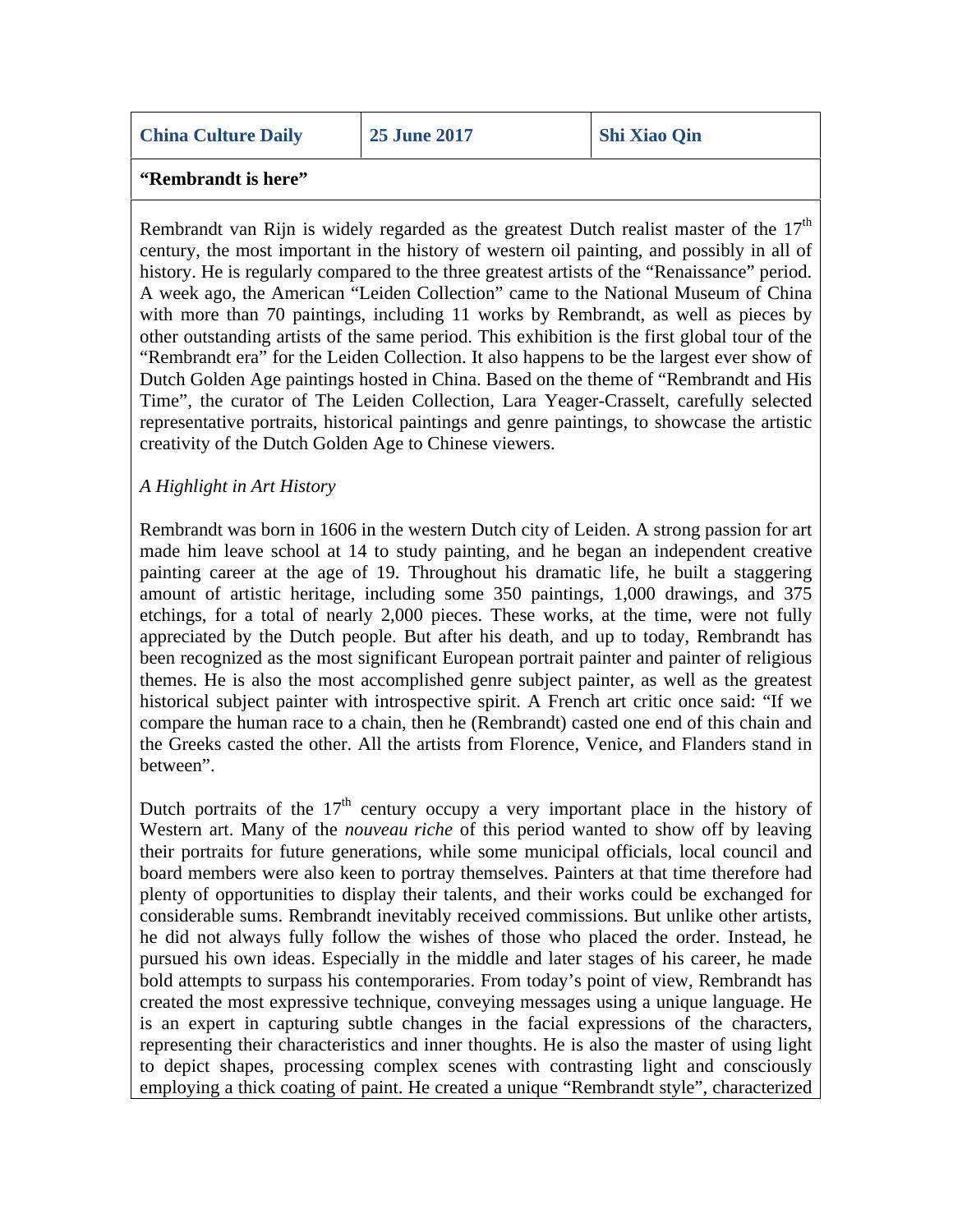### **"Rembrandt is here"**

Rembrandt van Rijn is widely regarded as the greatest Dutch realist master of the  $17<sup>th</sup>$ century, the most important in the history of western oil painting, and possibly in all of history. He is regularly compared to the three greatest artists of the "Renaissance" period. A week ago, the American "Leiden Collection" came to the National Museum of China with more than 70 paintings, including 11 works by Rembrandt, as well as pieces by other outstanding artists of the same period. This exhibition is the first global tour of the "Rembrandt era" for the Leiden Collection. It also happens to be the largest ever show of Dutch Golden Age paintings hosted in China. Based on the theme of "Rembrandt and His Time", the curator of The Leiden Collection, Lara Yeager-Crasselt, carefully selected representative portraits, historical paintings and genre paintings, to showcase the artistic creativity of the Dutch Golden Age to Chinese viewers.

## *A Highlight in Art History*

Rembrandt was born in 1606 in the western Dutch city of Leiden. A strong passion for art made him leave school at 14 to study painting, and he began an independent creative painting career at the age of 19. Throughout his dramatic life, he built a staggering amount of artistic heritage, including some 350 paintings, 1,000 drawings, and 375 etchings, for a total of nearly 2,000 pieces. These works, at the time, were not fully appreciated by the Dutch people. But after his death, and up to today, Rembrandt has been recognized as the most significant European portrait painter and painter of religious themes. He is also the most accomplished genre subject painter, as well as the greatest historical subject painter with introspective spirit. A French art critic once said: "If we compare the human race to a chain, then he (Rembrandt) casted one end of this chain and the Greeks casted the other. All the artists from Florence, Venice, and Flanders stand in between".

Dutch portraits of the  $17<sup>th</sup>$  century occupy a very important place in the history of Western art. Many of the *nouveau riche* of this period wanted to show off by leaving their portraits for future generations, while some municipal officials, local council and board members were also keen to portray themselves. Painters at that time therefore had plenty of opportunities to display their talents, and their works could be exchanged for considerable sums. Rembrandt inevitably received commissions. But unlike other artists, he did not always fully follow the wishes of those who placed the order. Instead, he pursued his own ideas. Especially in the middle and later stages of his career, he made bold attempts to surpass his contemporaries. From today's point of view, Rembrandt has created the most expressive technique, conveying messages using a unique language. He is an expert in capturing subtle changes in the facial expressions of the characters, representing their characteristics and inner thoughts. He is also the master of using light to depict shapes, processing complex scenes with contrasting light and consciously employing a thick coating of paint. He created a unique "Rembrandt style", characterized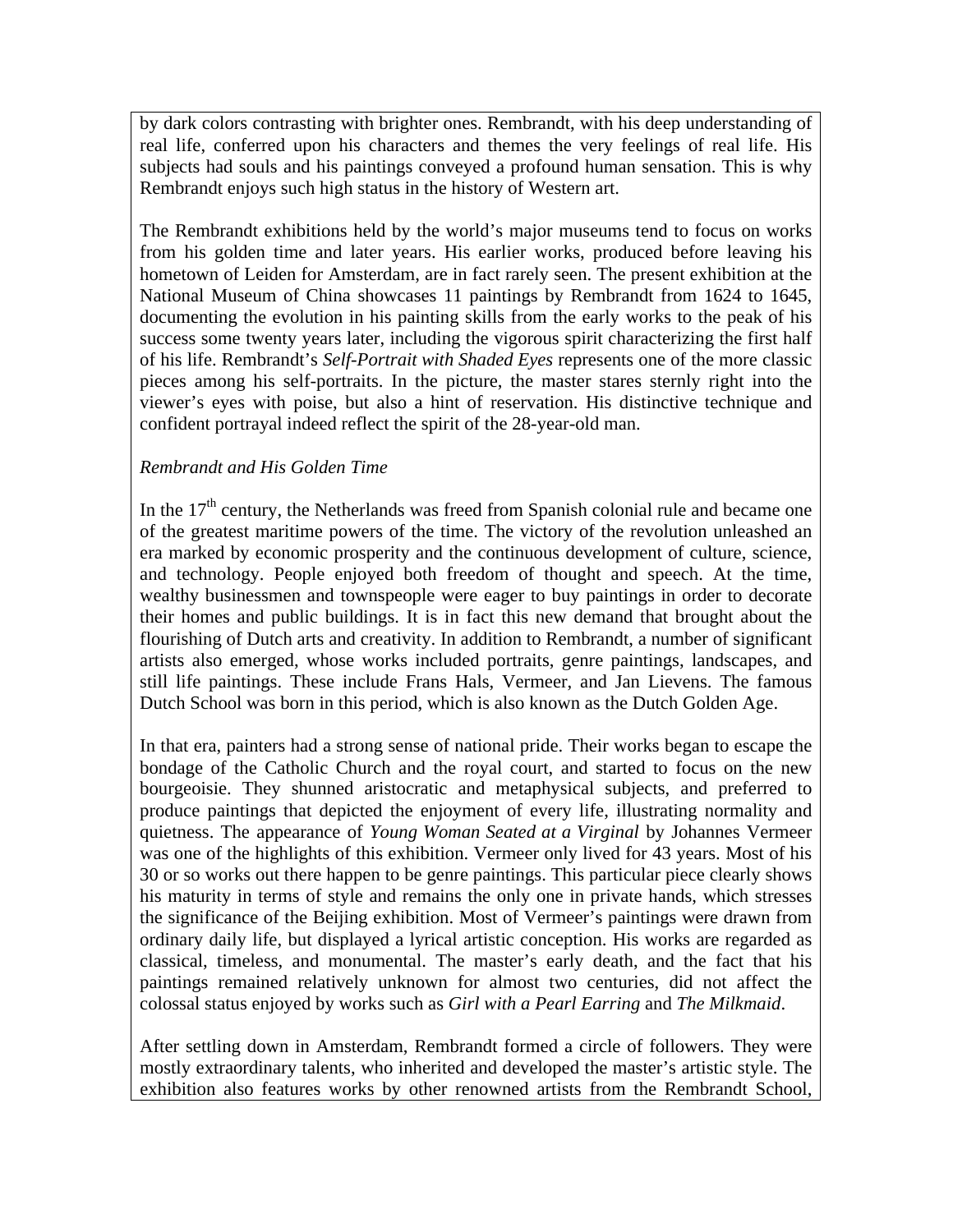by dark colors contrasting with brighter ones. Rembrandt, with his deep understanding of real life, conferred upon his characters and themes the very feelings of real life. His subjects had souls and his paintings conveyed a profound human sensation. This is why Rembrandt enjoys such high status in the history of Western art.

The Rembrandt exhibitions held by the world's major museums tend to focus on works from his golden time and later years. His earlier works, produced before leaving his hometown of Leiden for Amsterdam, are in fact rarely seen. The present exhibition at the National Museum of China showcases 11 paintings by Rembrandt from 1624 to 1645, documenting the evolution in his painting skills from the early works to the peak of his success some twenty years later, including the vigorous spirit characterizing the first half of his life. Rembrandt's *Self-Portrait with Shaded Eyes* represents one of the more classic pieces among his self-portraits. In the picture, the master stares sternly right into the viewer's eyes with poise, but also a hint of reservation. His distinctive technique and confident portrayal indeed reflect the spirit of the 28-year-old man.

## *Rembrandt and His Golden Time*

In the  $17<sup>th</sup>$  century, the Netherlands was freed from Spanish colonial rule and became one of the greatest maritime powers of the time. The victory of the revolution unleashed an era marked by economic prosperity and the continuous development of culture, science, and technology. People enjoyed both freedom of thought and speech. At the time, wealthy businessmen and townspeople were eager to buy paintings in order to decorate their homes and public buildings. It is in fact this new demand that brought about the flourishing of Dutch arts and creativity. In addition to Rembrandt, a number of significant artists also emerged, whose works included portraits, genre paintings, landscapes, and still life paintings. These include Frans Hals, Vermeer, and Jan Lievens. The famous Dutch School was born in this period, which is also known as the Dutch Golden Age.

In that era, painters had a strong sense of national pride. Their works began to escape the bondage of the Catholic Church and the royal court, and started to focus on the new bourgeoisie. They shunned aristocratic and metaphysical subjects, and preferred to produce paintings that depicted the enjoyment of every life, illustrating normality and quietness. The appearance of *Young Woman Seated at a Virginal* by Johannes Vermeer was one of the highlights of this exhibition. Vermeer only lived for 43 years. Most of his 30 or so works out there happen to be genre paintings. This particular piece clearly shows his maturity in terms of style and remains the only one in private hands, which stresses the significance of the Beijing exhibition. Most of Vermeer's paintings were drawn from ordinary daily life, but displayed a lyrical artistic conception. His works are regarded as classical, timeless, and monumental. The master's early death, and the fact that his paintings remained relatively unknown for almost two centuries, did not affect the colossal status enjoyed by works such as *Girl with a Pearl Earring* and *The Milkmaid*.

After settling down in Amsterdam, Rembrandt formed a circle of followers. They were mostly extraordinary talents, who inherited and developed the master's artistic style. The exhibition also features works by other renowned artists from the Rembrandt School,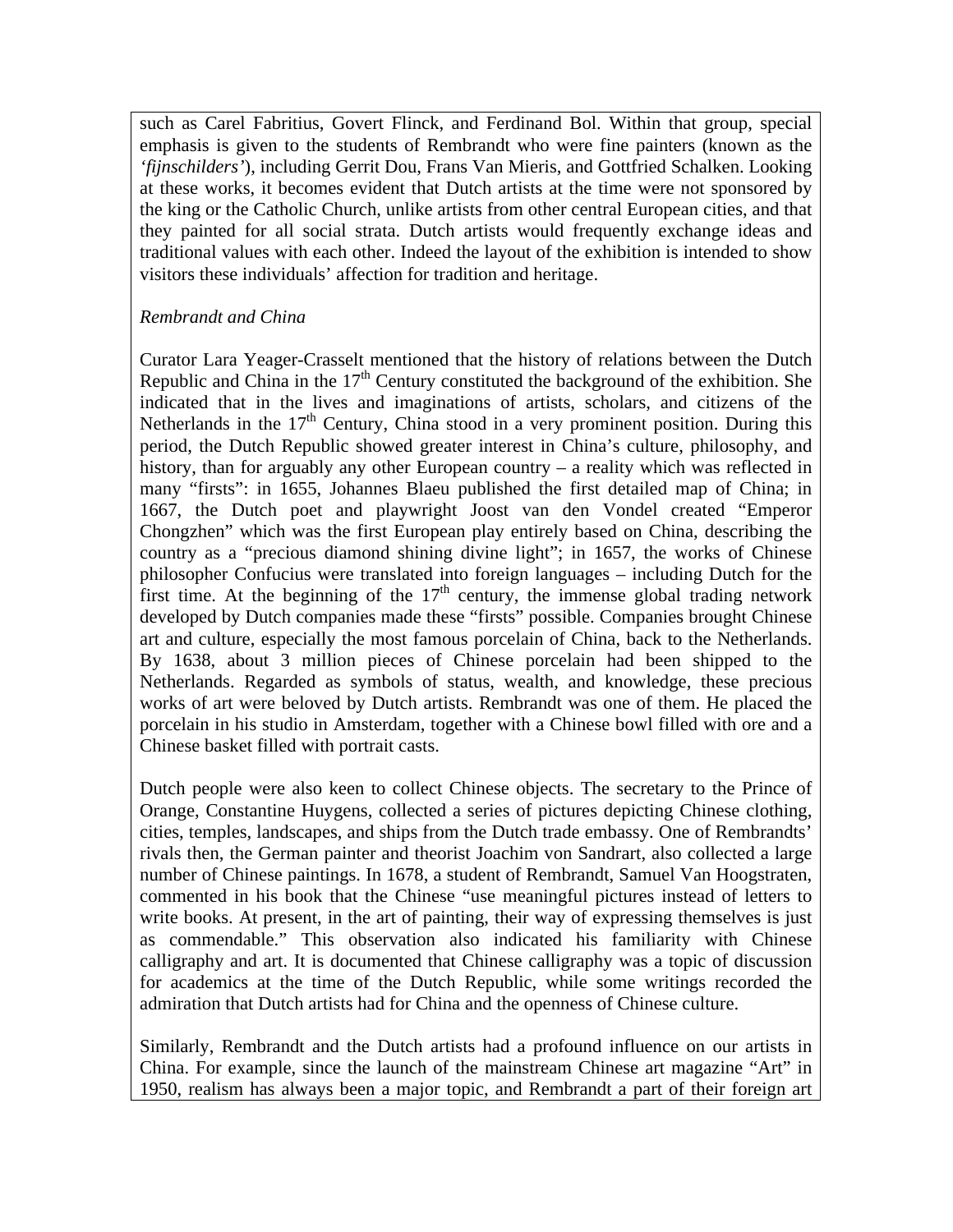such as Carel Fabritius, Govert Flinck, and Ferdinand Bol. Within that group, special emphasis is given to the students of Rembrandt who were fine painters (known as the *'fijnschilders'*), including Gerrit Dou, Frans Van Mieris, and Gottfried Schalken. Looking at these works, it becomes evident that Dutch artists at the time were not sponsored by the king or the Catholic Church, unlike artists from other central European cities, and that they painted for all social strata. Dutch artists would frequently exchange ideas and traditional values with each other. Indeed the layout of the exhibition is intended to show visitors these individuals' affection for tradition and heritage.

## *Rembrandt and China*

Curator Lara Yeager-Crasselt mentioned that the history of relations between the Dutch Republic and China in the  $17<sup>th</sup>$  Century constituted the background of the exhibition. She indicated that in the lives and imaginations of artists, scholars, and citizens of the Netherlands in the  $17<sup>th</sup>$  Century, China stood in a very prominent position. During this period, the Dutch Republic showed greater interest in China's culture, philosophy, and history, than for arguably any other European country – a reality which was reflected in many "firsts": in 1655, Johannes Blaeu published the first detailed map of China; in 1667, the Dutch poet and playwright Joost van den Vondel created "Emperor Chongzhen" which was the first European play entirely based on China, describing the country as a "precious diamond shining divine light"; in 1657, the works of Chinese philosopher Confucius were translated into foreign languages – including Dutch for the first time. At the beginning of the  $17<sup>th</sup>$  century, the immense global trading network developed by Dutch companies made these "firsts" possible. Companies brought Chinese art and culture, especially the most famous porcelain of China, back to the Netherlands. By 1638, about 3 million pieces of Chinese porcelain had been shipped to the Netherlands. Regarded as symbols of status, wealth, and knowledge, these precious works of art were beloved by Dutch artists. Rembrandt was one of them. He placed the porcelain in his studio in Amsterdam, together with a Chinese bowl filled with ore and a Chinese basket filled with portrait casts.

Dutch people were also keen to collect Chinese objects. The secretary to the Prince of Orange, Constantine Huygens, collected a series of pictures depicting Chinese clothing, cities, temples, landscapes, and ships from the Dutch trade embassy. One of Rembrandts' rivals then, the German painter and theorist Joachim von Sandrart, also collected a large number of Chinese paintings. In 1678, a student of Rembrandt, Samuel Van Hoogstraten, commented in his book that the Chinese "use meaningful pictures instead of letters to write books. At present, in the art of painting, their way of expressing themselves is just as commendable." This observation also indicated his familiarity with Chinese calligraphy and art. It is documented that Chinese calligraphy was a topic of discussion for academics at the time of the Dutch Republic, while some writings recorded the admiration that Dutch artists had for China and the openness of Chinese culture.

Similarly, Rembrandt and the Dutch artists had a profound influence on our artists in China. For example, since the launch of the mainstream Chinese art magazine "Art" in 1950, realism has always been a major topic, and Rembrandt a part of their foreign art